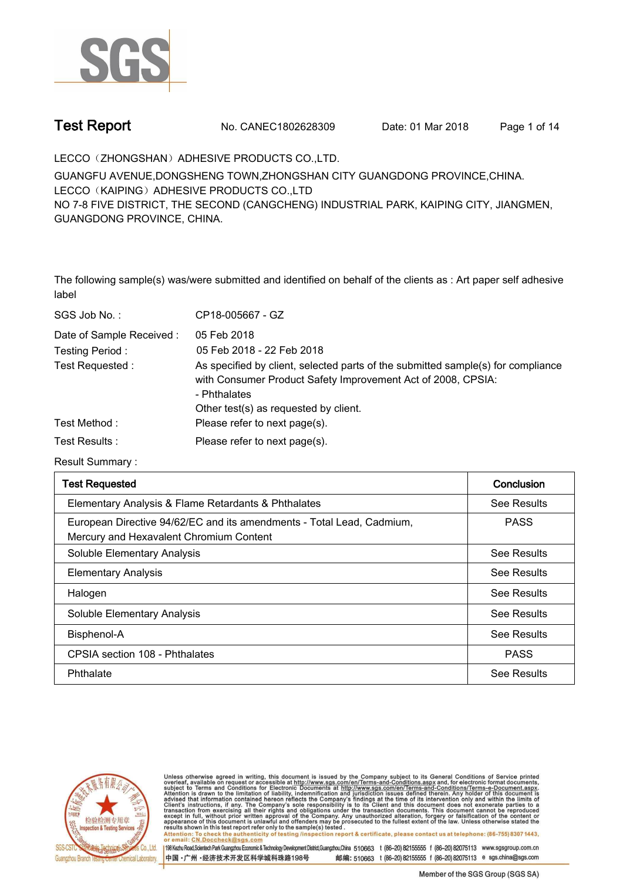

**Test Report. No. CANEC1802628309 Date: 01 Mar 2018. Page 1 of 14.**

**LECCO**(**ZHONGSHAN**)**ADHESIVE PRODUCTS CO.,LTD..**

**GUANGFU AVENUE,DONGSHENG TOWN,ZHONGSHAN CITY GUANGDONG PROVINCE,CHINA. LECCO**(**KAIPING**)**ADHESIVE PRODUCTS CO.,LTD NO 7-8 FIVE DISTRICT, THE SECOND (CANGCHENG) INDUSTRIAL PARK, KAIPING CITY, JIANGMEN, GUANGDONG PROVINCE, CHINA.**

**The following sample(s) was/were submitted and identified on behalf of the clients as : Art paper self adhesive label.**

| SGS Job No.:             | CP18-005667 - GZ                                                                                                                                                                                          |
|--------------------------|-----------------------------------------------------------------------------------------------------------------------------------------------------------------------------------------------------------|
| Date of Sample Received: | 05 Feb 2018                                                                                                                                                                                               |
| Testing Period:          | 05 Feb 2018 - 22 Feb 2018                                                                                                                                                                                 |
| Test Requested :         | As specified by client, selected parts of the submitted sample(s) for compliance<br>with Consumer Product Safety Improvement Act of 2008, CPSIA:<br>- Phthalates<br>Other test(s) as requested by client. |
| Test Method :            | Please refer to next page(s).                                                                                                                                                                             |
| Test Results :           | Please refer to next page(s).                                                                                                                                                                             |

**Result Summary :.**

| <b>Test Requested</b>                                                                                            | Conclusion  |
|------------------------------------------------------------------------------------------------------------------|-------------|
| Elementary Analysis & Flame Retardants & Phthalates                                                              | See Results |
| European Directive 94/62/EC and its amendments - Total Lead, Cadmium,<br>Mercury and Hexavalent Chromium Content | <b>PASS</b> |
| Soluble Elementary Analysis                                                                                      | See Results |
| <b>Elementary Analysis</b>                                                                                       | See Results |
| Halogen                                                                                                          | See Results |
| Soluble Elementary Analysis                                                                                      | See Results |
| Bisphenol-A                                                                                                      | See Results |
| CPSIA section 108 - Phthalates                                                                                   | <b>PASS</b> |
| Phthalate                                                                                                        | See Results |



Unless otherwise agreed in writing, this document is issued by the Company subject to its General Conditions of Service printed overleaf, available on request or accessible at http://www.sgs.com/en/Terms-and-Conditions.asp Attention: To check the authenticity of testing /inspection report & certificate, please contact us at telephone: (86-755) 8307 1443.

or email: CN.Doccheck@sgs.com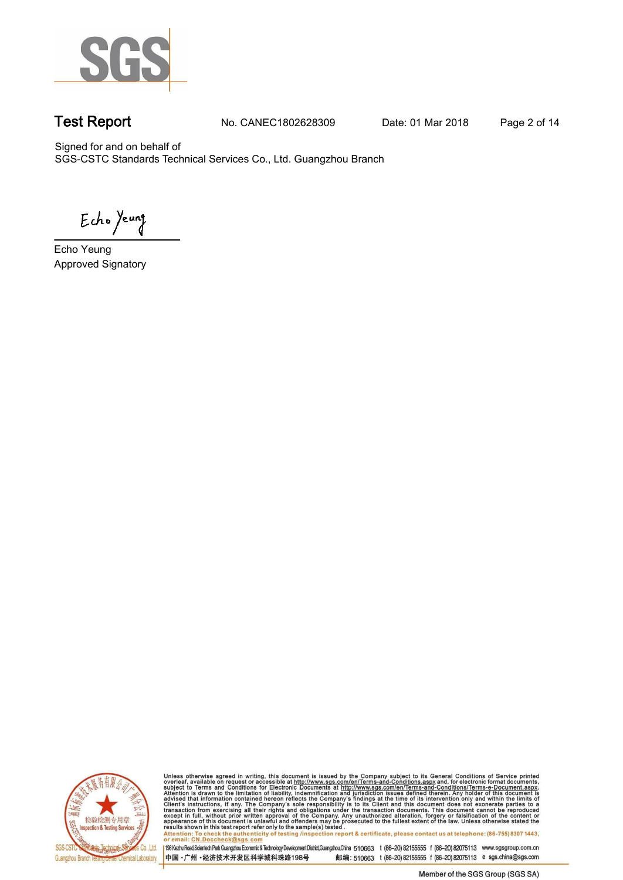

**Test Report. No. CANEC1802628309 Date: 01 Mar 2018. Page 2 of 14.**

Signed for and on behalf of SGS-CSTC Standards Technical Services Co., Ltd. Guangzhou Branch.

Echo Yeung

**Echo Yeung. Approved Signatory. . .**



Unless otherwise agreed in writing, this document is issued by the Company subject to its General Conditions of Service printed<br>overleaf, available on request or accessible at http://www.sgs.com/en/Terms-and-Conditions.asp Attention: To check the authenticity of testing /inspection report & certificate, please contact us at telephone: (86-755) 8307 1443,<br>Attention: To check the authenticity of testing /inspection report & certificate, please

198 Kezhu Road,Scientech Park Guangzhou Economic & Technology Development District,Guangzhou,China 510663 t (86-20) 82155555 f (86-20) 82075113 www.sgsgroup.com.cn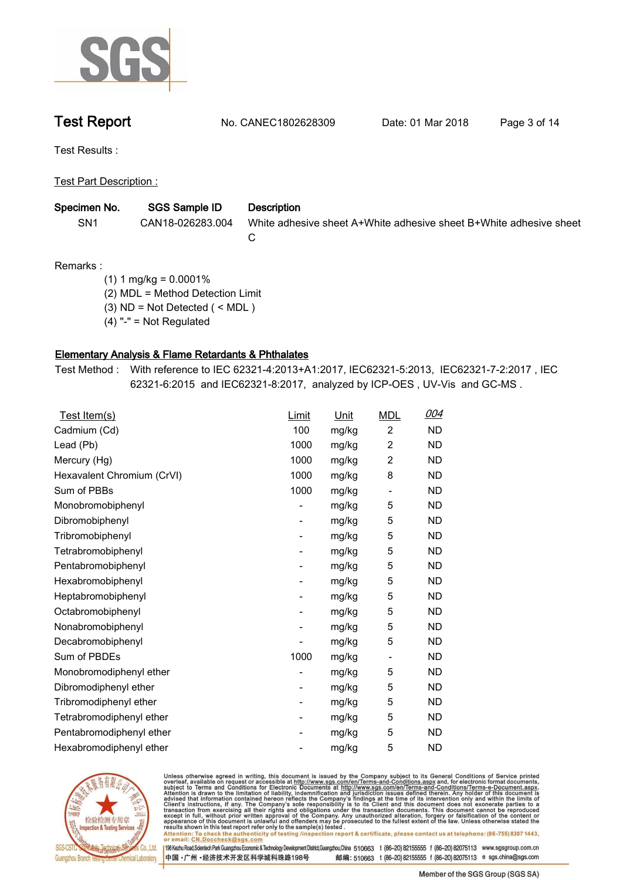

**Test Report. No. CANEC1802628309 Date: 01 Mar 2018. Page 3 of 14.**

**Test Results :.**

**Test Part Description :.**

| Specimen No.    | SGS Sample ID    | Description                                                        |
|-----------------|------------------|--------------------------------------------------------------------|
| SN <sub>1</sub> | CAN18-026283.004 | White adhesive sheet A+White adhesive sheet B+White adhesive sheet |
|                 |                  |                                                                    |

**Remarks :**

 **(1) 1 mg/kg = 0.0001%**

 **(2) MDL = Method Detection Limit**

 **(3) ND = Not Detected ( < MDL )**

 **(4) "-" = Not Regulated**

# **Elementary Analysis & Flame Retardants & Phthalates.**

**Test Method :. With reference to IEC 62321-4:2013+A1:2017, IEC62321-5:2013, IEC62321-7-2:2017 , IEC 62321-6:2015 and IEC62321-8:2017, analyzed by ICP-OES , UV-Vis and GC-MS ..**

| Test Item(s)               | Limit                    | <u>Unit</u> | <b>MDL</b>     | 004       |
|----------------------------|--------------------------|-------------|----------------|-----------|
| Cadmium (Cd)               | 100                      | mg/kg       | $\overline{c}$ | <b>ND</b> |
| Lead (Pb)                  | 1000                     | mg/kg       | 2              | <b>ND</b> |
| Mercury (Hg)               | 1000                     | mg/kg       | 2              | ND        |
| Hexavalent Chromium (CrVI) | 1000                     | mg/kg       | 8              | <b>ND</b> |
| Sum of PBBs                | 1000                     | mg/kg       |                | <b>ND</b> |
| Monobromobiphenyl          |                          | mg/kg       | 5              | <b>ND</b> |
| Dibromobiphenyl            | -                        | mg/kg       | 5              | ND        |
| Tribromobiphenyl           | -                        | mg/kg       | 5              | ND        |
| Tetrabromobiphenyl         | $\overline{\phantom{a}}$ | mg/kg       | 5              | <b>ND</b> |
| Pentabromobiphenyl         |                          | mg/kg       | 5              | ND        |
| Hexabromobiphenyl          |                          | mg/kg       | 5              | ND        |
| Heptabromobiphenyl         | $\overline{\phantom{m}}$ | mg/kg       | 5              | <b>ND</b> |
| Octabromobiphenyl          | -                        | mg/kg       | 5              | <b>ND</b> |
| Nonabromobiphenyl          |                          | mg/kg       | 5              | <b>ND</b> |
| Decabromobiphenyl          |                          | mg/kg       | 5              | <b>ND</b> |
| Sum of PBDEs               | 1000                     | mg/kg       |                | ND        |
| Monobromodiphenyl ether    | -                        | mg/kg       | 5              | <b>ND</b> |
| Dibromodiphenyl ether      | $\overline{\phantom{0}}$ | mg/kg       | 5              | <b>ND</b> |
| Tribromodiphenyl ether     | $\overline{\phantom{a}}$ | mg/kg       | 5              | <b>ND</b> |
| Tetrabromodiphenyl ether   | ۰                        | mg/kg       | 5              | ND        |
| Pentabromodiphenyl ether   | -                        | mg/kg       | 5              | ND        |
| Hexabromodiphenyl ether    | $\overline{a}$           | mg/kg       | 5              | <b>ND</b> |
|                            |                          |             |                |           |



Unless otherwise agreed in writing, this document is issued by the Company subject to its General Conditions of Service printed<br>overleaf, available on request or accessible at http://www.sgs.com/en/Terms-and-Conditions.asp Attention: To check the authenticity of testing /inspection report & certificate, please contact us at telephone: (86-755) 8307 1443,<br>Attention: To check the authenticity of testing /inspection report & certificate, please

198 Kezhu Road,Scientech Park Guangzhou Economic & Technology Development District,Guangzhou,China 510663 t (86-20) 82155555 f (86-20) 82075113 www.sgsgroup.com.cn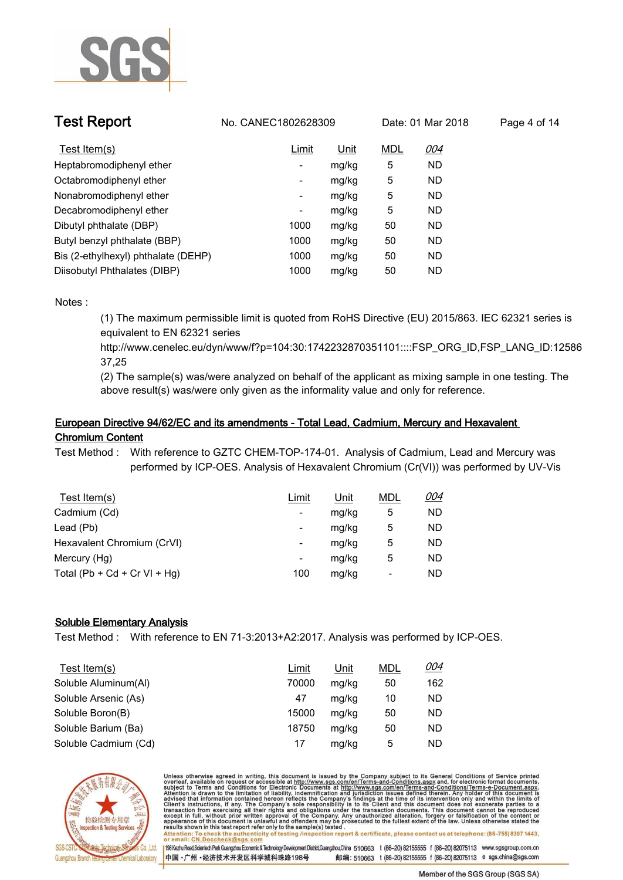

| <b>Test Report</b>                  | No. CANEC1802628309 |       |     | Date: 01 Mar 2018 | Page 4 of 14 |
|-------------------------------------|---------------------|-------|-----|-------------------|--------------|
| Test Item(s)                        | Limit               | Unit  | MDL | 004               |              |
| Heptabromodiphenyl ether            | -                   | mg/kg | 5   | <b>ND</b>         |              |
| Octabromodiphenyl ether             | ٠                   | mg/kg | 5   | <b>ND</b>         |              |
| Nonabromodiphenyl ether             | ٠                   | mg/kg | 5   | <b>ND</b>         |              |
| Decabromodiphenyl ether             | -                   | mg/kg | 5   | <b>ND</b>         |              |
| Dibutyl phthalate (DBP)             | 1000                | mg/kg | 50  | <b>ND</b>         |              |
| Butyl benzyl phthalate (BBP)        | 1000                | mg/kg | 50  | <b>ND</b>         |              |
| Bis (2-ethylhexyl) phthalate (DEHP) | 1000                | mg/kg | 50  | <b>ND</b>         |              |
| Diisobutyl Phthalates (DIBP)        | 1000                | mg/kg | 50  | <b>ND</b>         |              |

**(1) The maximum permissible limit is quoted from RoHS Directive (EU) 2015/863. IEC 62321 series is equivalent to EN 62321 series** 

**http://www.cenelec.eu/dyn/www/f?p=104:30:1742232870351101::::FSP\_ORG\_ID,FSP\_LANG\_ID:12586 37,25**

**(2) The sample(s) was/were analyzed on behalf of the applicant as mixing sample in one testing. The above result(s) was/were only given as the informality value and only for reference..**

# **European Directive 94/62/EC and its amendments - Total Lead, Cadmium, Mercury and Hexavalent Chromium Content.**

**Test Method :. With reference to GZTC CHEM-TOP-174-01. Analysis of Cadmium, Lead and Mercury was performed by ICP-OES. Analysis of Hexavalent Chromium (Cr(VI)) was performed by UV-Vis.**

| Test Item $(s)$              | Limit                    | <u>Unit</u> | <b>MDL</b> | <u>004</u> |
|------------------------------|--------------------------|-------------|------------|------------|
| Cadmium (Cd)                 | $\overline{\phantom{0}}$ | mg/kg       | 5          | ND         |
| Lead (Pb)                    | $\overline{\phantom{0}}$ | mg/kg       | 5          | ND         |
| Hexavalent Chromium (CrVI)   | $\overline{\phantom{0}}$ | mg/kg       | 5          | ND         |
| Mercury (Hg)                 | $\overline{\phantom{0}}$ | mg/kg       | 5          | ND         |
| Total (Pb + Cd + Cr VI + Hg) | 100                      | mg/kg       | ۰          | ND         |

# **Soluble Elementary Analysis.**

**Test Method :. With reference to EN 71-3:2013+A2:2017. Analysis was performed by ICP-OES..**

| Test Item(s)         | <u>Limit</u> | <u>Unit</u> | <b>MDL</b> | 004 |
|----------------------|--------------|-------------|------------|-----|
| Soluble Aluminum(Al) | 70000        | mg/kg       | 50         | 162 |
| Soluble Arsenic (As) | 47           | mg/kg       | 10         | ND  |
| Soluble Boron(B)     | 15000        | mg/kg       | 50         | ND  |
| Soluble Barium (Ba)  | 18750        | mg/kg       | 50         | ND  |
| Soluble Cadmium (Cd) | 17           | mg/kg       | 5          | ND  |



Unless otherwise agreed in writing, this document is issued by the Company subject to its General Conditions of Service printed overleaf, available on request or accessible at http://www.sgs.com/en/Terms-and-Conditions.asp resums shown in mas lost report tells with one sample(s) lesied .<br>Attention: To check the authenticity of testing /inspection report & certificate, please contact us at telephone: (86-755) 8307 1443,<br>or email: <u>CN.Doccheck</u>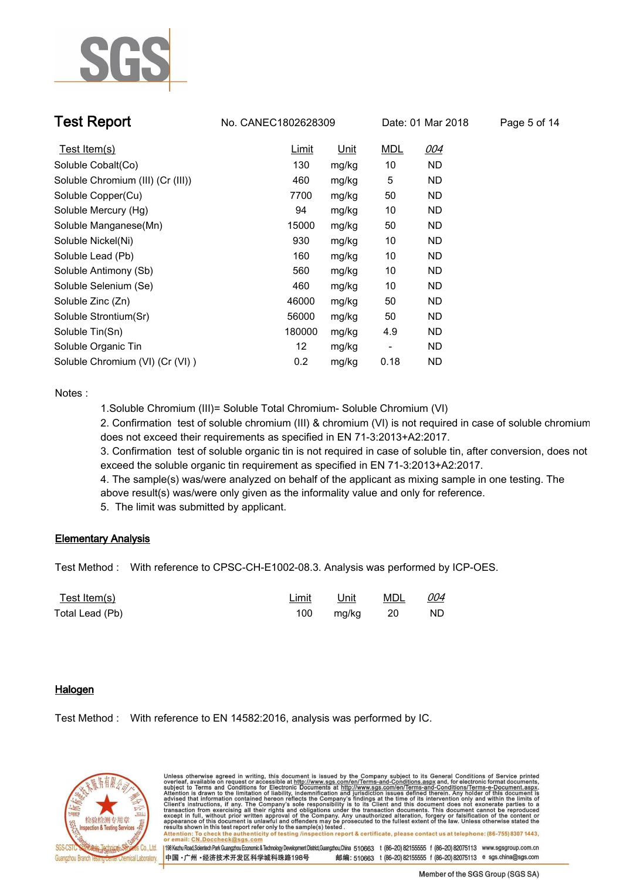

| <b>Test Report</b>                | No. CANEC1802628309 |       |            | Date: 01 Mar 2018 | Page 5 of 14 |
|-----------------------------------|---------------------|-------|------------|-------------------|--------------|
| Test Item(s)                      | Limit               | Unit  | <b>MDL</b> | 004               |              |
| Soluble Cobalt(Co)                | 130                 | mg/kg | 10         | ND.               |              |
| Soluble Chromium (III) (Cr (III)) | 460                 | mg/kg | 5          | ND.               |              |
| Soluble Copper(Cu)                | 7700                | mg/kg | 50         | ND                |              |
| Soluble Mercury (Hg)              | 94                  | mg/kg | 10         | ND                |              |
| Soluble Manganese(Mn)             | 15000               | mg/kg | 50         | ND.               |              |
| Soluble Nickel(Ni)                | 930                 | mg/kg | 10         | ND.               |              |
| Soluble Lead (Pb)                 | 160                 | mg/kg | 10         | ND                |              |
| Soluble Antimony (Sb)             | 560                 | mg/kg | 10         | ND                |              |
| Soluble Selenium (Se)             | 460                 | mg/kg | 10         | ND                |              |
| Soluble Zinc (Zn)                 | 46000               | mg/kg | 50         | ND.               |              |
| Soluble Strontium(Sr)             | 56000               | mg/kg | 50         | ND.               |              |
| Soluble Tin(Sn)                   | 180000              | mg/kg | 4.9        | ND                |              |
| Soluble Organic Tin               | 12                  | mg/kg | -          | <b>ND</b>         |              |
| Soluble Chromium (VI) (Cr (VI))   | 0.2                 | mg/kg | 0.18       | ND                |              |

**1.Soluble Chromium (III)= Soluble Total Chromium- Soluble Chromium (VI)**

**2. Confirmation test of soluble chromium (III) & chromium (VI) is not required in case of soluble chromium does not exceed their requirements as specified in EN 71-3:2013+A2:2017.**

**3. Confirmation test of soluble organic tin is not required in case of soluble tin, after conversion, does not exceed the soluble organic tin requirement as specified in EN 71-3:2013+A2:2017.**

**4. The sample(s) was/were analyzed on behalf of the applicant as mixing sample in one testing. The above result(s) was/were only given as the informality value and only for reference.** 

**5. The limit was submitted by applicant..**

# **Elementary Analysis.**

**Test Method :. With reference to CPSC-CH-E1002-08.3. Analysis was performed by ICP-OES..**

| <u>Test Item(s)</u> | Limit | Unit     | <u>MDL</u> | <u>004</u> |
|---------------------|-------|----------|------------|------------|
| Total Lead (Pb)     | 100   | mg/kg 20 |            | <b>ND</b>  |

# **Halogen.**

**Test Method :. With reference to EN 14582:2016, analysis was performed by IC..**



Unless otherwise agreed in writing, this document is issued by the Company subject to its General Conditions of Service printed overleaf, available on request or accessible at http://www.sgs.com/en/Terms-and-Conditions.asp resums shown in mas lost report tells with one sample(s) lesied .<br>Attention: To check the authenticity of testing /inspection report & certificate, please contact us at telephone: (86-755) 8307 1443,<br>or email: <u>CN.Doccheck</u> 198 Kezhu Road,Scientech Park Guangzhou Economic & Technology Development District,Guangzhou,China 510663 t (86-20) 82155555 f (86-20) 82075113 www.sgsgroup.com.cn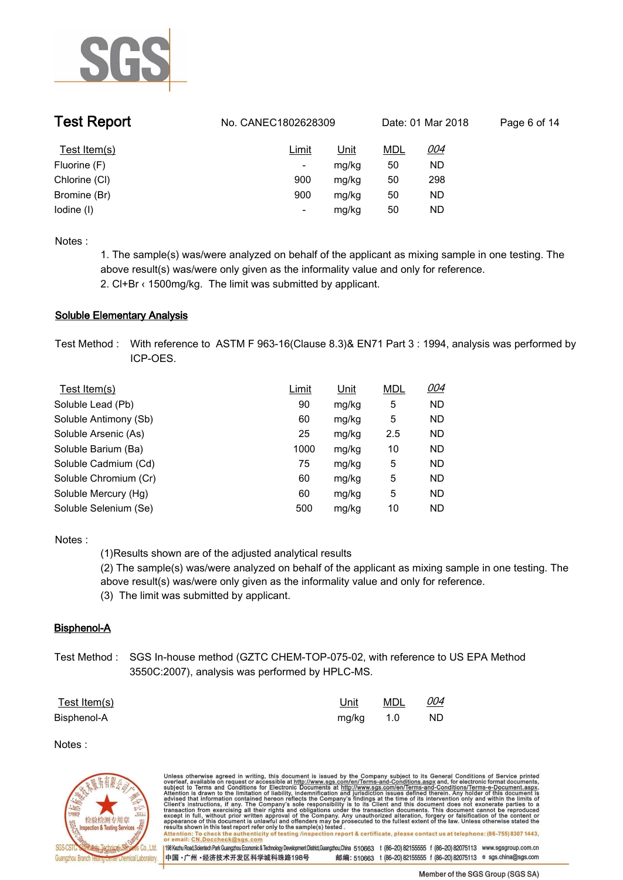

| <b>Test Report</b> | No. CANEC1802628309      |       |            | Date: 01 Mar 2018 | Page 6 of 14 |
|--------------------|--------------------------|-------|------------|-------------------|--------------|
| Test Item(s)       | <u>Limit</u>             | Unit  | <b>MDL</b> | <u>004</u>        |              |
| Fluorine (F)       | ٠                        | mg/kg | 50         | ND                |              |
| Chlorine (CI)      | 900                      | mg/kg | 50         | 298               |              |
| Bromine (Br)       | 900                      | mg/kg | 50         | ND                |              |
| lodine (I)         | $\overline{\phantom{0}}$ | mg/kg | 50         | <b>ND</b>         |              |

**1. The sample(s) was/were analyzed on behalf of the applicant as mixing sample in one testing. The above result(s) was/were only given as the informality value and only for reference.** 

**2. Cl+Br ‹ 1500mg/kg. The limit was submitted by applicant..**

# **Soluble Elementary Analysis.**

**Test Method :. With reference to ASTM F 963-16(Clause 8.3)& EN71 Part 3 : 1994, analysis was performed by ICP-OES..**

| Test Item(s)          | Limit | <u>Unit</u> | <b>MDL</b> | <u>004</u> |
|-----------------------|-------|-------------|------------|------------|
| Soluble Lead (Pb)     | 90    | mg/kg       | 5          | <b>ND</b>  |
| Soluble Antimony (Sb) | 60    | mg/kg       | 5          | <b>ND</b>  |
| Soluble Arsenic (As)  | 25    | mg/kg       | 2.5        | <b>ND</b>  |
| Soluble Barium (Ba)   | 1000  | mg/kg       | 10         | ND.        |
| Soluble Cadmium (Cd)  | 75    | mg/kg       | 5          | ND.        |
| Soluble Chromium (Cr) | 60    | mg/kg       | 5          | <b>ND</b>  |
| Soluble Mercury (Hg)  | 60    | mg/kg       | 5          | ND.        |
| Soluble Selenium (Se) | 500   | mg/kg       | 10         | ND.        |

**Notes :.**

**(1)Results shown are of the adjusted analytical results (2) The sample(s) was/were analyzed on behalf of the applicant as mixing sample in one testing. The above result(s) was/were only given as the informality value and only for reference.** 

**(3) The limit was submitted by applicant..**

# **Bisphenol-A.**

**Test Method :. SGS In-house method (GZTC CHEM-TOP-075-02, with reference to US EPA Method 3550C:2007), analysis was performed by HPLC-MS..**

| Test Item(s) |           | Unit MDL 004 |      |
|--------------|-----------|--------------|------|
| Bisphenol-A  | mg/kg 1.0 |              | - ND |

### **Notes :.**



Unless otherwise agreed in writing, this document is issued by the Company subject to its General Conditions of Service printed overleaf, available on request or accessible at http://www.sgs.com/en/Terms-and-Conditions.asp resuns shown in this test report refer only to the sample(s) tested .<br>Attention: To check the authenticity of testing /inspection report & certificate, please contact us at telephone: (86-755) 8307 1443,<br>or email: <u>CN.Docc</u> 198 Kezhu Road,Scientech Park Guangzhou Economic & Technology Development District,Guangzhou,China 510663 t (86-20) 82155555 f (86-20) 82075113 www.sgsgroup.com.cn 中国·广州·经济技术开发区科学城科珠路198号 邮编: 510663 t (86-20) 82155555 f (86-20) 82075113 e sgs.china@sgs.com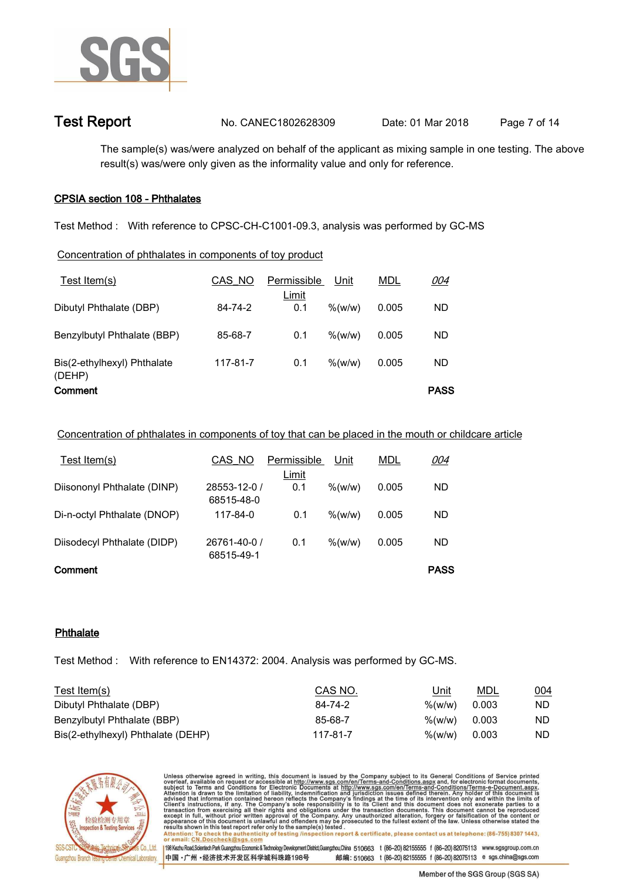

```
Test Report. No. CANEC1802628309 Date: 01 Mar 2018. Page 7 of 14.
```
**The sample(s) was/were analyzed on behalf of the applicant as mixing sample in one testing. The above result(s) was/were only given as the informality value and only for reference..**

# **CPSIA section 108 - Phthalates.**

**Test Method :. With reference to CPSC-CH-C1001-09.3, analysis was performed by GC-MS.**

# **Concentration of phthalates in components of toy product**

| Test Item(s)                          | CAS NO   | Permissible  | Unit                | <b>MDL</b> | <u>004</u>  |  |
|---------------------------------------|----------|--------------|---------------------|------------|-------------|--|
| Dibutyl Phthalate (DBP)               | 84-74-2  | Limit<br>0.1 | $\%$ (w/w)          | 0.005      | ND.         |  |
| Benzylbutyl Phthalate (BBP)           | 85-68-7  | 0.1          | % (w/w)             | 0.005      | ND.         |  |
| Bis(2-ethylhexyl) Phthalate<br>(DEHP) | 117-81-7 | 0.1          | $\frac{\% (w/w)}{}$ | 0.005      | ND.         |  |
| Comment                               |          |              |                     |            | <b>PASS</b> |  |

# **Concentration of phthalates in components of toy that can be placed in the mouth or childcare article**

| Test Item(s)                | CAS NO       | Permissible | Unit       | <u>MDL</u> | <u>004</u>  |  |  |
|-----------------------------|--------------|-------------|------------|------------|-------------|--|--|
|                             |              | Limit       |            |            |             |  |  |
| Diisononyl Phthalate (DINP) | 28553-12-0 / | 0.1         | $%$ (w/w)  | 0.005      | ND.         |  |  |
|                             | 68515-48-0   |             |            |            |             |  |  |
| Di-n-octyl Phthalate (DNOP) | 117-84-0     | 0.1         | $\%$ (w/w) | 0.005      | ND.         |  |  |
|                             |              |             |            |            |             |  |  |
| Diisodecyl Phthalate (DIDP) | 26761-40-0 / | 0.1         | $%$ (w/w)  | 0.005      | ND.         |  |  |
|                             | 68515-49-1   |             |            |            |             |  |  |
| Comment                     |              |             |            |            | <b>PASS</b> |  |  |

# **Phthalate.**

**Test Method :. With reference to EN14372: 2004. Analysis was performed by GC-MS..**

| Test Item(s)                       | CAS NO.  | Unit                | MDL   | 004 |  |
|------------------------------------|----------|---------------------|-------|-----|--|
| Dibutyl Phthalate (DBP)            | 84-74-2  | $\frac{\% (w/w)}{}$ | 0.003 | ND  |  |
| Benzylbutyl Phthalate (BBP)        | 85-68-7  | %(w/w)              | 0.003 | ND  |  |
| Bis(2-ethylhexyl) Phthalate (DEHP) | 117-81-7 | $\frac{\% (w/w)}{}$ | 0.003 | ND  |  |



Unless otherwise agreed in writing, this document is issued by the Company subject to its General Conditions of Service printed overleaf, available on request or accessible at http://www.sgs.com/en/Terms-and-Conditions.asp résults shown in this test report refer only to the sample(s) tésted .<br>Attention: To check the authenticity of testing /inspection report & certificate, please contact us at telephone: (86-755) 8307 1443,<br>or email: <u>CN.Doc</u>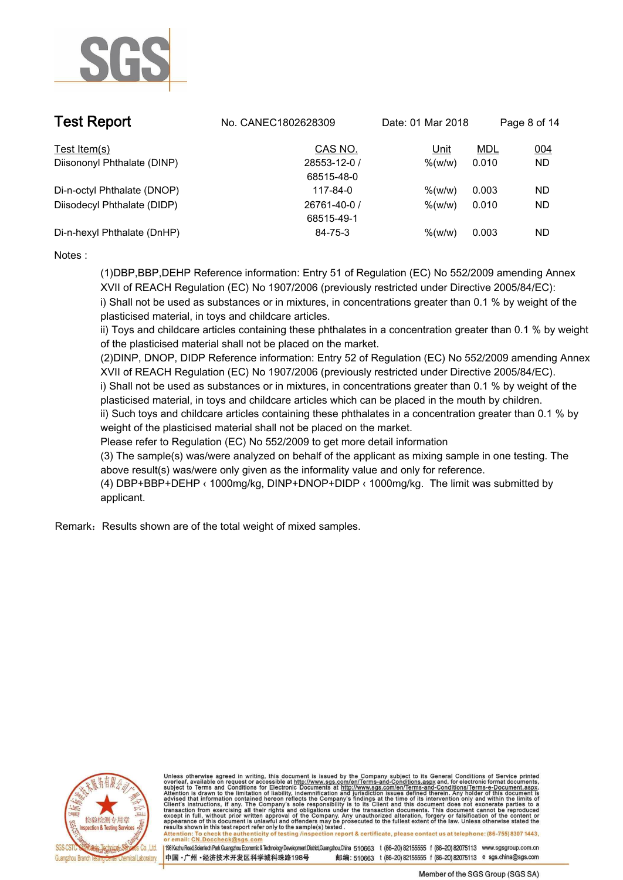

| <b>Test Report</b>          | No. CANEC1802628309 | Date: 01 Mar 2018 |            | Page 8 of 14 |  |
|-----------------------------|---------------------|-------------------|------------|--------------|--|
| Test Item(s)                | CAS NO.             | Unit              | <u>MDL</u> | 004          |  |
| Diisononyl Phthalate (DINP) | 28553-12-0 /        | $\%$ (w/w)        | 0.010      | ND.          |  |
|                             | 68515-48-0          |                   |            |              |  |
| Di-n-octyl Phthalate (DNOP) | 117-84-0            | $\%$ (w/w)        | 0.003      | ND.          |  |
| Diisodecyl Phthalate (DIDP) | 26761-40-0 /        | $\%$ (w/w)        | 0.010      | <b>ND</b>    |  |
|                             | 68515-49-1          |                   |            |              |  |
| Di-n-hexyl Phthalate (DnHP) | 84-75-3             | $\%$ (w/w)        | 0.003      | ND.          |  |

**(1)DBP,BBP,DEHP Reference information: Entry 51 of Regulation (EC) No 552/2009 amending Annex XVII of REACH Regulation (EC) No 1907/2006 (previously restricted under Directive 2005/84/EC):** 

**i) Shall not be used as substances or in mixtures, in concentrations greater than 0.1 % by weight of the plasticised material, in toys and childcare articles.** 

**ii) Toys and childcare articles containing these phthalates in a concentration greater than 0.1 % by weight of the plasticised material shall not be placed on the market.** 

**(2)DINP, DNOP, DIDP Reference information: Entry 52 of Regulation (EC) No 552/2009 amending Annex XVII of REACH Regulation (EC) No 1907/2006 (previously restricted under Directive 2005/84/EC).** 

**i) Shall not be used as substances or in mixtures, in concentrations greater than 0.1 % by weight of the plasticised material, in toys and childcare articles which can be placed in the mouth by children.** 

**ii) Such toys and childcare articles containing these phthalates in a concentration greater than 0.1 % by weight of the plasticised material shall not be placed on the market.** 

**Please refer to Regulation (EC) No 552/2009 to get more detail information**

**(3) The sample(s) was/were analyzed on behalf of the applicant as mixing sample in one testing. The above result(s) was/were only given as the informality value and only for reference.** 

**(4) DBP+BBP+DEHP ‹ 1000mg/kg, DINP+DNOP+DIDP ‹ 1000mg/kg. The limit was submitted by applicant..**

**Remark**:**Results shown are of the total weight of mixed samples..**



Unless otherwise agreed in writing, this document is issued by the Company subject to its General Conditions of Service printed overleaf, available on request or accessible at http://www.sgs.com/en/Terms-and-Conditions.asp resums shown in mas lost report tells with one sample(s) lesied .<br>Attention: To check the authenticity of testing /inspection report & certificate, please contact us at telephone: (86-755) 8307 1443,<br>or email: <u>CN.Doccheck</u>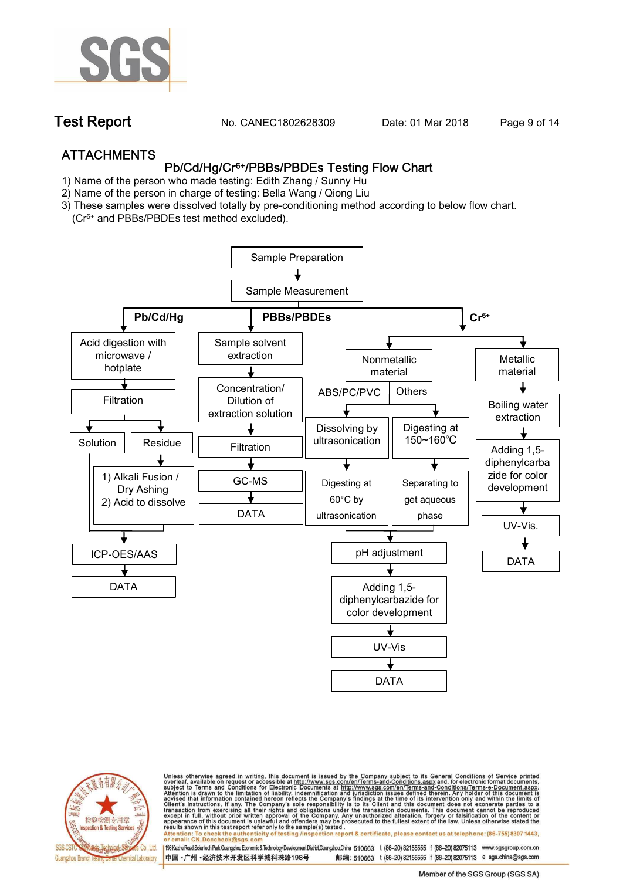

**Test Report. No. CANEC1802628309 Date: 01 Mar 2018. Page 9 of 14.**

# **ATTACHMENTS Pb/Cd/Hg/Cr6+/PBBs/PBDEs Testing Flow Chart**

- **1)** Name of the person who made testing: **Edith Zhang / Sunny Hu**
- **2)** Name of the person in charge of testing: **Bella Wang / Qiong Liu**
- **3) These samples were dissolved totally by pre-conditioning method according to below flow chart.**
	- **(Cr6+ and PBBs/PBDEs test method excluded).**





Unless otherwise agreed in writing, this document is issued by the Company subject to its General Conditions of Service printed<br>overleaf, available on request or accessible at http://www.sgs.com/en/Terms-and-Conditions.asp résults shown in this test report refer only to the sample(s) tésted .<br>Attention: To check the authenticity of testing /inspection report & certificate, please contact us at telephone: (86-755) 8307 1443,<br>or email: <u>CN.Doc</u>

198 Kezhu Road,Scientech Park Guangzhou Economic & Technology Development District,Guangzhou,China 510663 t (86-20) 82155555 f (86-20) 82075113 www.sgsgroup.com.cn

邮编: 510663 t (86-20) 82155555 f (86-20) 82075113 e sgs.china@sgs.com 中国·广州·经济技术开发区科学城科珠路198号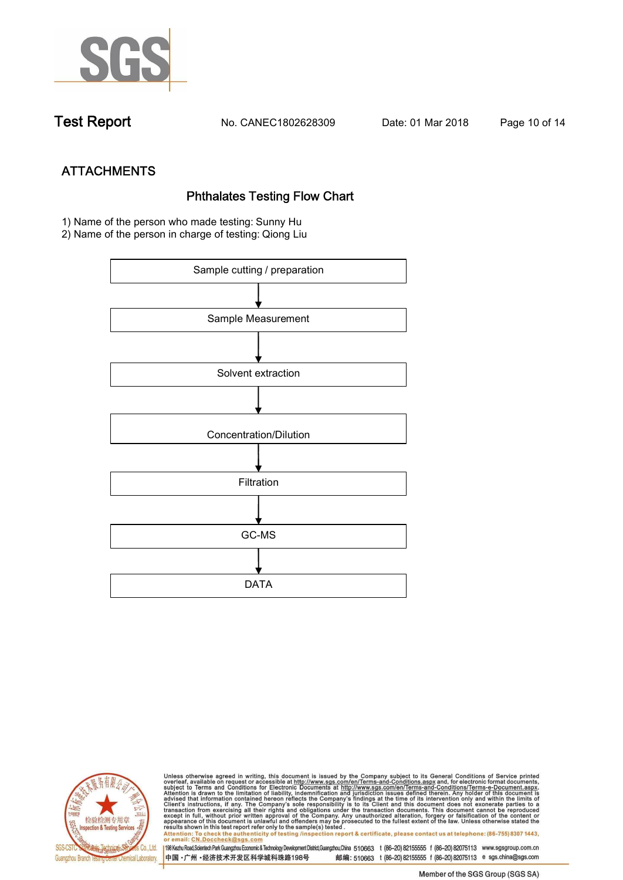

**Test Report. No. CANEC1802628309 Date: 01 Mar 2018. Page 10 of 14.**

# **ATTACHMENTS**<br>Phthalates Testing Flow Chart<br>1) Name of the person who made testing: Sunny Hu

**2) Name of the person in charge of testing: Qiong Liu**





Unless otherwise agreed in writing, this document is issued by the Company subject to its General Conditions of Service printed<br>overleaf, available on request or accessible at http://www.sgs.com/en/Terms-and-Conditions.asp results shown in this test report refer only to the sample(s) tested .<br>Attention: To check the authenticity of testing /inspection report & certificate, please contact us at telephone: (86-755) 8307 1443,<br>or email: <u>CN.Doc</u>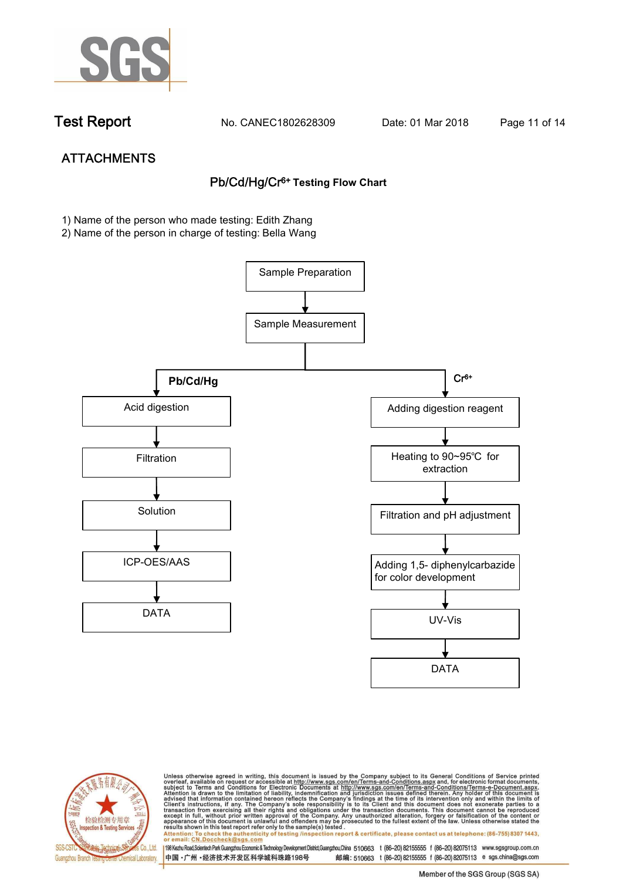

**Test Report. No. CANEC1802628309 Date: 01 Mar 2018. Page 11 of 14.**

# **ATTACHMENTS Pb/Cd/Hg/Cr6+ Testing Flow Chart**

**1) Name of the person who made testing: Edith Zhang**

**2) Name of the person in charge of testing: Bella Wang**





Unless otherwise agreed in writing, this document is issued by the Company subject to its General Conditions of Service printed overleaf, available on request or accessible at http://www.sgs.com/en/Terms-and-Conditions.asp results shown in this test report refer only to the sample(s) tested .<br>Attention: To check the authenticity of testing /inspection report & certificate, please contact us at telephone: (86-755) 8307 1443,<br>or email: <u>CN.Doc</u>

198 Kezhu Road,Scientech Park Guangzhou Economic & Technology Development District,Guangzhou,China 510663 t (86-20) 82155555 f (86-20) 82075113 www.sgsgroup.com.cn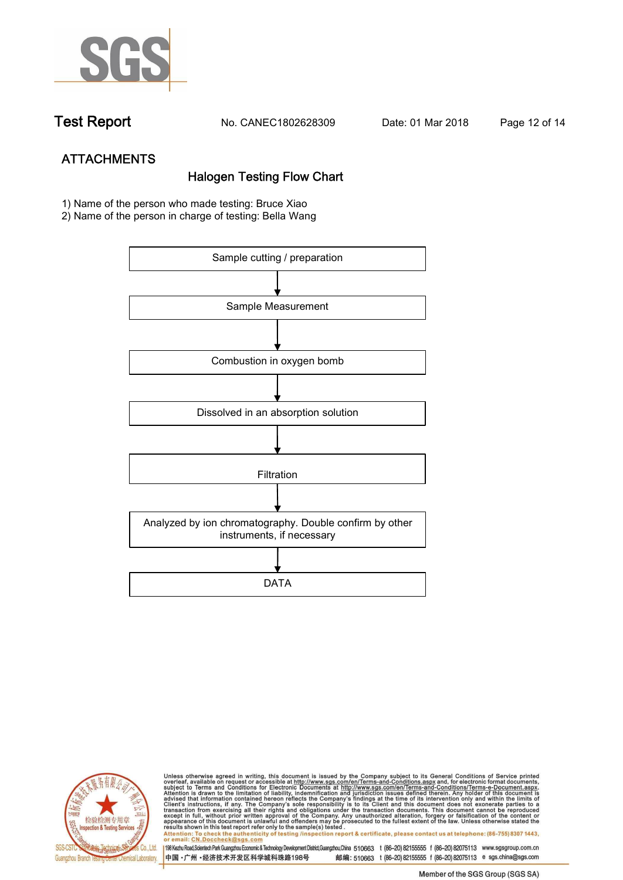

**Test Report. No. CANEC1802628309 Date: 01 Mar 2018. Page 12 of 14.**

# **ATTACHMENTS Halogen Testing Flow Chart**

- **1) Name of the person who made testing: Bruce Xiao**
- **2) Name of the person in charge of testing: Bella Wang**





Unless otherwise agreed in writing, this document is issued by the Company subject to its General Conditions of Service printed<br>overleaf, available on request or accessible at http://www.sgs.com/en/Terms-and-Conditions.asp results shown in this test report refer only to the sample(s) tested .<br>Attention: To check the authenticity of testing /inspection report & certificate, please contact us at telephone: (86-755) 8307 1443,<br>or email: <u>CN.Doc</u>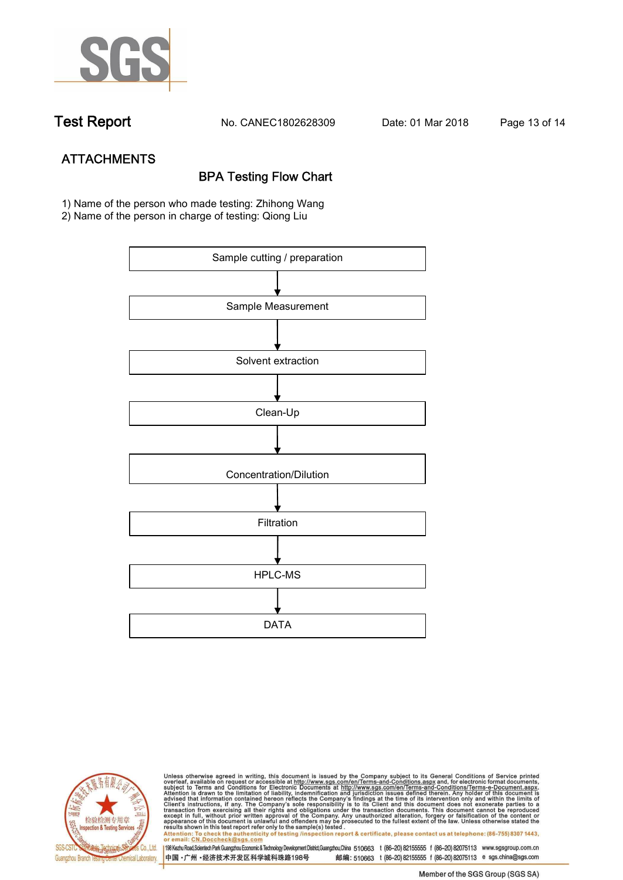

**Test Report. No. CANEC1802628309 Date: 01 Mar 2018. Page 13 of 14.**

# **ATTACHMENTS BPA Testing Flow Chart**

**1) Name of the person who made testing: Zhihong Wang**

**2) Name of the person in charge of testing: Qiong Liu**





Unless otherwise agreed in writing, this document is issued by the Company subject to its General Conditions of Service printed<br>overleaf, available on request or accessible at http://www.sgs.com/en/Terms-and-Conditions.asp results shown in this test report refer only to the sample(s) tested .<br>Attention: To check the authenticity of testing /inspection report & certificate, please contact us at telephone: (86-755) 8307 1443,<br>or email: <u>CN.Doc</u>